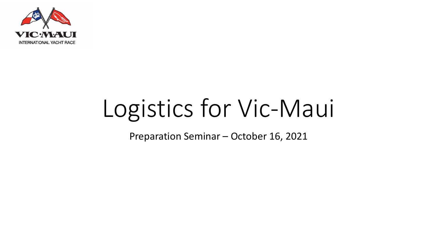

# Logistics for Vic-Maui

Preparation Seminar – October 16, 2021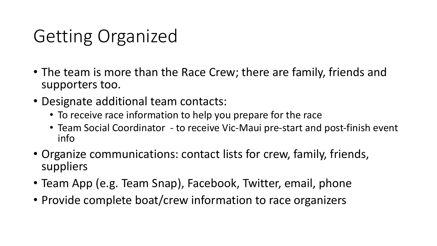## Getting Organized

- The team is more than the Race Crew; there are family, friends and supporters too.
- Designate additional team contacts:
	- To receive race information to help you prepare for the race
	- Team Social Coordinator to receive Vic-Maui pre-start and post-finish event info
- Organize communications: contact lists for crew, family, friends, suppliers
- Team App (e.g. Team Snap), Facebook, Twitter, email, phone
- Provide complete boat/crew information to race organizers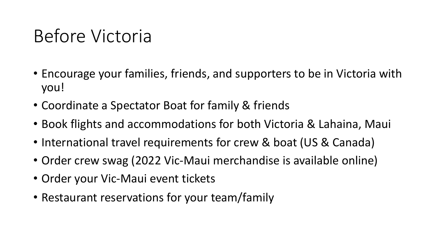### Before Victoria

- Encourage your families, friends, and supporters to be in Victoria with you!
- Coordinate a Spectator Boat for family & friends
- Book flights and accommodations for both Victoria & Lahaina, Maui
- International travel requirements for crew & boat (US & Canada)
- Order crew swag (2022 Vic-Maui merchandise is available online)
- Order your Vic-Maui event tickets
- Restaurant reservations for your team/family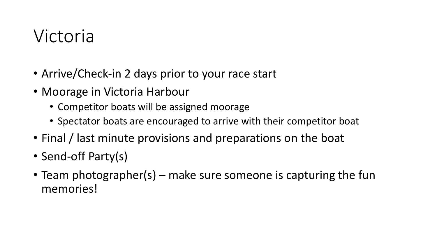#### Victoria

- Arrive/Check-in 2 days prior to your race start
- Moorage in Victoria Harbour
	- Competitor boats will be assigned moorage
	- Spectator boats are encouraged to arrive with their competitor boat
- Final / last minute provisions and preparations on the boat
- Send-off Party(s)
- Team photographer(s) make sure someone is capturing the fun memories!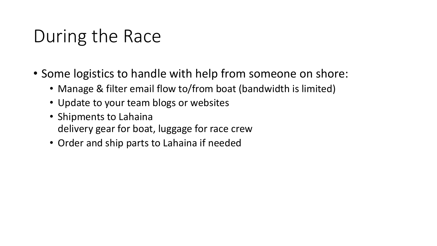## During the Race

- Some logistics to handle with help from someone on shore:
	- Manage & filter email flow to/from boat (bandwidth is limited)
	- Update to your team blogs or websites
	- Shipments to Lahaina delivery gear for boat, luggage for race crew
	- Order and ship parts to Lahaina if needed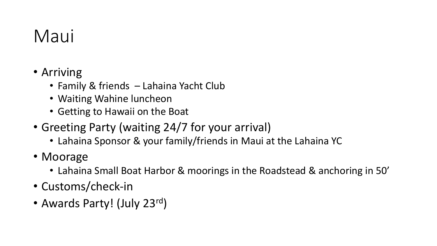## Maui

- Arriving
	- Family & friends Lahaina Yacht Club
	- Waiting Wahine luncheon
	- Getting to Hawaii on the Boat
- Greeting Party (waiting 24/7 for your arrival)
	- Lahaina Sponsor & your family/friends in Maui at the Lahaina YC
- Moorage
	- Lahaina Small Boat Harbor & moorings in the Roadstead & anchoring in 50'
- Customs/check-in
- Awards Party! (July 23rd)